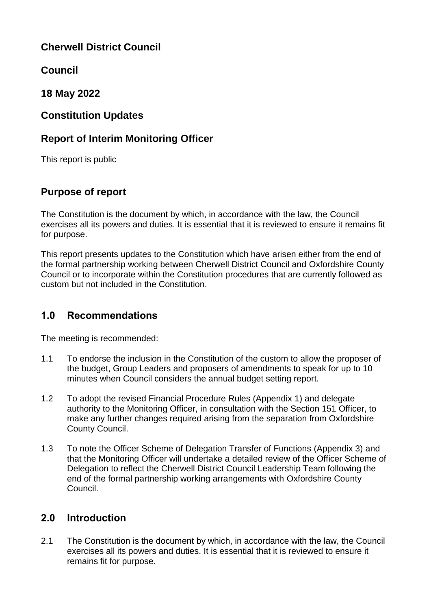# **Cherwell District Council**

**Council** 

**18 May 2022**

## **Constitution Updates**

# **Report of Interim Monitoring Officer**

This report is public

# **Purpose of report**

The Constitution is the document by which, in accordance with the law, the Council exercises all its powers and duties. It is essential that it is reviewed to ensure it remains fit for purpose.

This report presents updates to the Constitution which have arisen either from the end of the formal partnership working between Cherwell District Council and Oxfordshire County Council or to incorporate within the Constitution procedures that are currently followed as custom but not included in the Constitution.

# **1.0 Recommendations**

The meeting is recommended:

- 1.1 To endorse the inclusion in the Constitution of the custom to allow the proposer of the budget, Group Leaders and proposers of amendments to speak for up to 10 minutes when Council considers the annual budget setting report.
- 1.2 To adopt the revised Financial Procedure Rules (Appendix 1) and delegate authority to the Monitoring Officer, in consultation with the Section 151 Officer, to make any further changes required arising from the separation from Oxfordshire County Council.
- 1.3 To note the Officer Scheme of Delegation Transfer of Functions (Appendix 3) and that the Monitoring Officer will undertake a detailed review of the Officer Scheme of Delegation to reflect the Cherwell District Council Leadership Team following the end of the formal partnership working arrangements with Oxfordshire County Council.

# **2.0 Introduction**

2.1 The Constitution is the document by which, in accordance with the law, the Council exercises all its powers and duties. It is essential that it is reviewed to ensure it remains fit for purpose.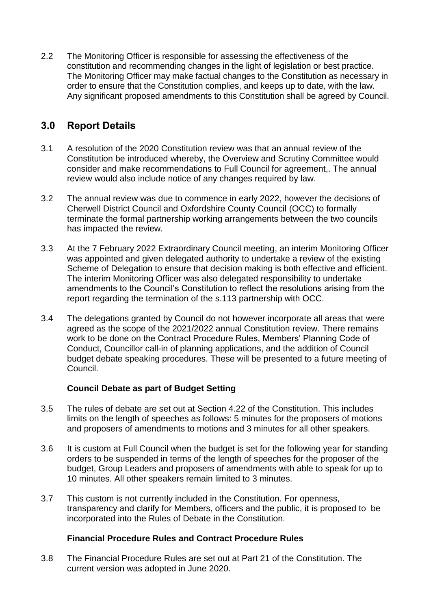2.2 The Monitoring Officer is responsible for assessing the effectiveness of the constitution and recommending changes in the light of legislation or best practice. The Monitoring Officer may make factual changes to the Constitution as necessary in order to ensure that the Constitution complies, and keeps up to date, with the law. Any significant proposed amendments to this Constitution shall be agreed by Council.

## **3.0 Report Details**

- 3.1 A resolution of the 2020 Constitution review was that an annual review of the Constitution be introduced whereby, the Overview and Scrutiny Committee would consider and make recommendations to Full Council for agreement,. The annual review would also include notice of any changes required by law.
- 3.2 The annual review was due to commence in early 2022, however the decisions of Cherwell District Council and Oxfordshire County Council (OCC) to formally terminate the formal partnership working arrangements between the two councils has impacted the review.
- 3.3 At the 7 February 2022 Extraordinary Council meeting, an interim Monitoring Officer was appointed and given delegated authority to undertake a review of the existing Scheme of Delegation to ensure that decision making is both effective and efficient. The interim Monitoring Officer was also delegated responsibility to undertake amendments to the Council's Constitution to reflect the resolutions arising from the report regarding the termination of the s.113 partnership with OCC.
- 3.4 The delegations granted by Council do not however incorporate all areas that were agreed as the scope of the 2021/2022 annual Constitution review. There remains work to be done on the Contract Procedure Rules, Members' Planning Code of Conduct, Councillor call-in of planning applications, and the addition of Council budget debate speaking procedures. These will be presented to a future meeting of Council.

### **Council Debate as part of Budget Setting**

- 3.5 The rules of debate are set out at Section 4.22 of the Constitution. This includes limits on the length of speeches as follows: 5 minutes for the proposers of motions and proposers of amendments to motions and 3 minutes for all other speakers.
- 3.6 It is custom at Full Council when the budget is set for the following year for standing orders to be suspended in terms of the length of speeches for the proposer of the budget, Group Leaders and proposers of amendments with able to speak for up to 10 minutes. All other speakers remain limited to 3 minutes.
- 3.7 This custom is not currently included in the Constitution. For openness, transparency and clarify for Members, officers and the public, it is proposed to be incorporated into the Rules of Debate in the Constitution.

### **Financial Procedure Rules and Contract Procedure Rules**

3.8 The Financial Procedure Rules are set out at Part 21 of the Constitution. The current version was adopted in June 2020.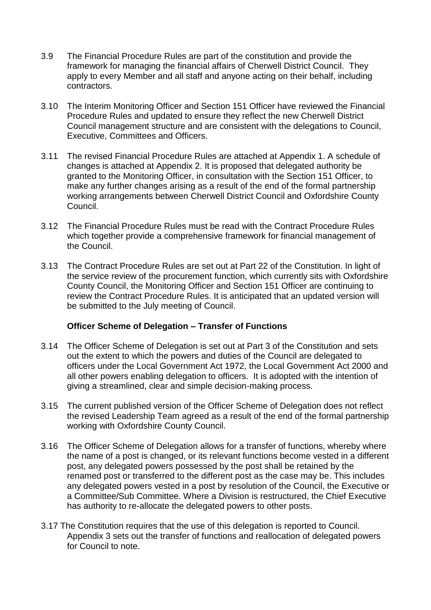- 3.9 The Financial Procedure Rules are part of the constitution and provide the framework for managing the financial affairs of Cherwell District Council. They apply to every Member and all staff and anyone acting on their behalf, including contractors.
- 3.10 The Interim Monitoring Officer and Section 151 Officer have reviewed the Financial Procedure Rules and updated to ensure they reflect the new Cherwell District Council management structure and are consistent with the delegations to Council, Executive, Committees and Officers.
- 3.11 The revised Financial Procedure Rules are attached at Appendix 1. A schedule of changes is attached at Appendix 2. It is proposed that delegated authority be granted to the Monitoring Officer, in consultation with the Section 151 Officer, to make any further changes arising as a result of the end of the formal partnership working arrangements between Cherwell District Council and Oxfordshire County Council.
- 3.12 The Financial Procedure Rules must be read with the Contract Procedure Rules which together provide a comprehensive framework for financial management of the Council.
- 3.13 The Contract Procedure Rules are set out at Part 22 of the Constitution. In light of the service review of the procurement function, which currently sits with Oxfordshire County Council, the Monitoring Officer and Section 151 Officer are continuing to review the Contract Procedure Rules. It is anticipated that an updated version will be submitted to the July meeting of Council.

### **Officer Scheme of Delegation – Transfer of Functions**

- 3.14 The Officer Scheme of Delegation is set out at Part 3 of the Constitution and sets out the extent to which the powers and duties of the Council are delegated to officers under the Local Government Act 1972, the Local Government Act 2000 and all other powers enabling delegation to officers. It is adopted with the intention of giving a streamlined, clear and simple decision-making process.
- 3.15 The current published version of the Officer Scheme of Delegation does not reflect the revised Leadership Team agreed as a result of the end of the formal partnership working with Oxfordshire County Council.
- 3.16 The Officer Scheme of Delegation allows for a transfer of functions, whereby where the name of a post is changed, or its relevant functions become vested in a different post, any delegated powers possessed by the post shall be retained by the renamed post or transferred to the different post as the case may be. This includes any delegated powers vested in a post by resolution of the Council, the Executive or a Committee/Sub Committee. Where a Division is restructured, the Chief Executive has authority to re-allocate the delegated powers to other posts.
- 3.17 The Constitution requires that the use of this delegation is reported to Council. Appendix 3 sets out the transfer of functions and reallocation of delegated powers for Council to note.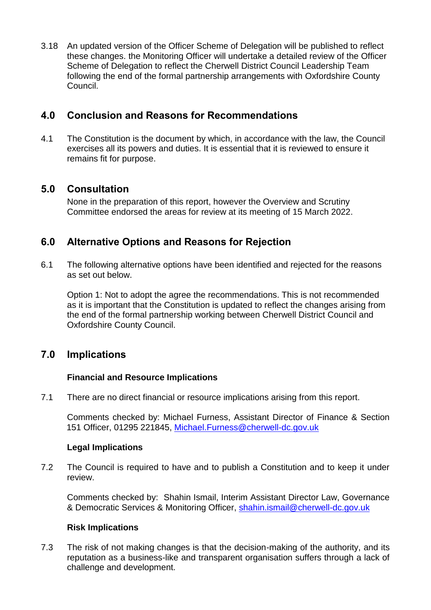3.18 An updated version of the Officer Scheme of Delegation will be published to reflect these changes. the Monitoring Officer will undertake a detailed review of the Officer Scheme of Delegation to reflect the Cherwell District Council Leadership Team following the end of the formal partnership arrangements with Oxfordshire County Council.

## **4.0 Conclusion and Reasons for Recommendations**

4.1 The Constitution is the document by which, in accordance with the law, the Council exercises all its powers and duties. It is essential that it is reviewed to ensure it remains fit for purpose.

## **5.0 Consultation**

None in the preparation of this report, however the Overview and Scrutiny Committee endorsed the areas for review at its meeting of 15 March 2022.

## **6.0 Alternative Options and Reasons for Rejection**

6.1 The following alternative options have been identified and rejected for the reasons as set out below.

Option 1: Not to adopt the agree the recommendations. This is not recommended as it is important that the Constitution is updated to reflect the changes arising from the end of the formal partnership working between Cherwell District Council and Oxfordshire County Council.

## **7.0 Implications**

### **Financial and Resource Implications**

7.1 There are no direct financial or resource implications arising from this report.

Comments checked by: Michael Furness, Assistant Director of Finance & Section 151 Officer, 01295 221845, [Michael.Furness@cherwell-dc.gov.uk](mailto:Michael.Furness@cherwell-dc.gov.uk)

### **Legal Implications**

7.2 The Council is required to have and to publish a Constitution and to keep it under review.

Comments checked by: Shahin Ismail, Interim Assistant Director Law, Governance & Democratic Services & Monitoring Officer, [shahin.ismail@cherwell-dc.gov.uk](mailto:shahin.ismail@cherwell-dc.gov.uk)

### **Risk Implications**

7.3 The risk of not making changes is that the decision-making of the authority, and its reputation as a business-like and transparent organisation suffers through a lack of challenge and development.